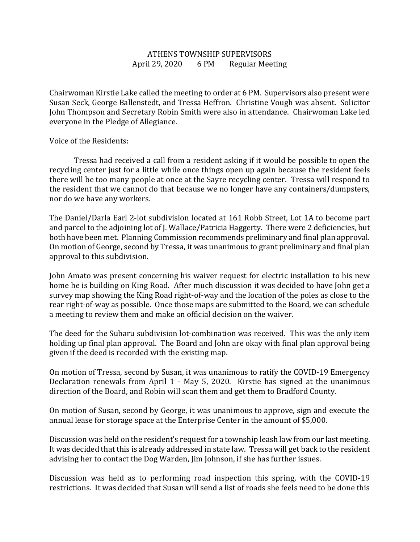## ATHENS TOWNSHIP SUPERVISORS April 29, 2020 6 PM Regular Meeting

Chairwoman Kirstie Lake called the meeting to order at 6 PM. Supervisors also present were Susan Seck, George Ballenstedt, and Tressa Heffron. Christine Vough was absent. Solicitor John Thompson and Secretary Robin Smith were also in attendance. Chairwoman Lake led everyone in the Pledge of Allegiance.

## Voice of the Residents:

 Tressa had received a call from a resident asking if it would be possible to open the recycling center just for a little while once things open up again because the resident feels there will be too many people at once at the Sayre recycling center. Tressa will respond to the resident that we cannot do that because we no longer have any containers/dumpsters, nor do we have any workers.

The Daniel/Darla Earl 2-lot subdivision located at 161 Robb Street, Lot 1A to become part and parcel to the adjoining lot of J. Wallace/Patricia Haggerty. There were 2 deficiencies, but both have been met. Planning Commission recommends preliminary and final plan approval. On motion of George, second by Tressa, it was unanimous to grant preliminary and final plan approval to this subdivision.

John Amato was present concerning his waiver request for electric installation to his new home he is building on King Road. After much discussion it was decided to have John get a survey map showing the King Road right-of-way and the location of the poles as close to the rear right-of-way as possible. Once those maps are submitted to the Board, we can schedule a meeting to review them and make an official decision on the waiver.

The deed for the Subaru subdivision lot-combination was received. This was the only item holding up final plan approval. The Board and John are okay with final plan approval being given if the deed is recorded with the existing map.

On motion of Tressa, second by Susan, it was unanimous to ratify the COVID-19 Emergency Declaration renewals from April 1 - May 5, 2020. Kirstie has signed at the unanimous direction of the Board, and Robin will scan them and get them to Bradford County.

On motion of Susan, second by George, it was unanimous to approve, sign and execute the annual lease for storage space at the Enterprise Center in the amount of \$5,000.

Discussion was held on the resident's request for a township leash law from our last meeting. It was decided that this is already addressed in state law. Tressa will get back to the resident advising her to contact the Dog Warden, Jim Johnson, if she has further issues.

Discussion was held as to performing road inspection this spring, with the COVID-19 restrictions. It was decided that Susan will send a list of roads she feels need to be done this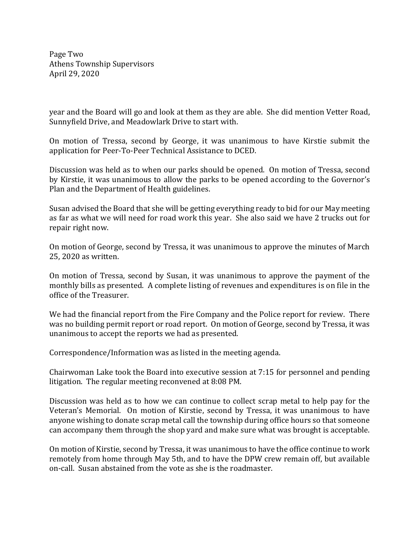Page Two Athens Township Supervisors April 29, 2020

year and the Board will go and look at them as they are able. She did mention Vetter Road, Sunnyfield Drive, and Meadowlark Drive to start with.

On motion of Tressa, second by George, it was unanimous to have Kirstie submit the application for Peer-To-Peer Technical Assistance to DCED.

Discussion was held as to when our parks should be opened. On motion of Tressa, second by Kirstie, it was unanimous to allow the parks to be opened according to the Governor's Plan and the Department of Health guidelines.

Susan advised the Board that she will be getting everything ready to bid for our May meeting as far as what we will need for road work this year. She also said we have 2 trucks out for repair right now.

On motion of George, second by Tressa, it was unanimous to approve the minutes of March 25, 2020 as written.

On motion of Tressa, second by Susan, it was unanimous to approve the payment of the monthly bills as presented. A complete listing of revenues and expenditures is on file in the office of the Treasurer.

We had the financial report from the Fire Company and the Police report for review. There was no building permit report or road report. On motion of George, second by Tressa, it was unanimous to accept the reports we had as presented.

Correspondence/Information was as listed in the meeting agenda.

Chairwoman Lake took the Board into executive session at 7:15 for personnel and pending litigation. The regular meeting reconvened at 8:08 PM.

Discussion was held as to how we can continue to collect scrap metal to help pay for the Veteran's Memorial. On motion of Kirstie, second by Tressa, it was unanimous to have anyone wishing to donate scrap metal call the township during office hours so that someone can accompany them through the shop yard and make sure what was brought is acceptable.

On motion of Kirstie, second by Tressa, it was unanimous to have the office continue to work remotely from home through May 5th, and to have the DPW crew remain off, but available on-call. Susan abstained from the vote as she is the roadmaster.